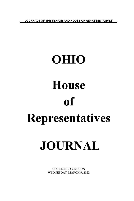**JOURNALS OF THE SENATE AND HOUSE OF REPRESENTATIVES**

# **OHIO House of Representatives**

# **JOURNAL**

CORRECTED VERSION WEDNESDAY, MARCH 9, 2022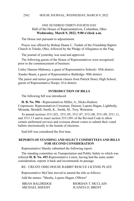# ONE HUNDRED THIRTY-FOURTH DAY Hall of the House of Representatives, Columbus, Ohio **Wednesday, March 9, 2022, 9:00 o'clock a.m.**

The House met pursuant to adjournment.

Prayer was offered by Bishop Duane C. Tisdale of the Friendship Baptist Church in Toledo, Ohio, followed by the Pledge of Allegiance to the Flag.

The journal of yesterday was read and approved.

The following guests of the House of Representatives were recognized prior to the commencement of business:

Cailey Hansen-Mahoney, a guest of Representative Sobecki- 45th district.

Xander Beam, a guest of Representative Baldridge- 90th district.

The junior and senior government classes from Patrick Henry High School, guests of Representative Hoops- 81st district.

#### **INTRODUCTION OF BILLS**

The following bill was introduced:

**H. B. No. 596 -** Representatives Miller, A., Hicks-Hudson. Cosponsors: Representatives Crossman, Denson, Lepore-Hagan, Lightbody, Miranda, Skindell, Smith, K., Smith, M., Troy, Weinstein.

To amend sections 3511.021, 3511.05, 3511.07, 3511.08, 3511.09, 3511.11, and 3511.13 and to enact section 3511.091 of the Revised Code to allow certain uniformed services and overseas absent voters to submit their voted ballots electronically to the boards of elections.

Said bill was considered the first time.

#### **REPORTS OF STANDING AND SELECT COMMITTEES AND BILLS FOR SECOND CONSIDERATION**

Representative Sheehy submitted the following report:

The standing committee on Transportation and Public Safety to which was referred **H. B. No. 493**-Representative Liston, having had the same under consideration, reports it back and recommends its passage.

RE: CREATE OHIO HOUSE RABBIT RESCUE LICENSE PLATE

Representative McClain moved to amend the title as follows:

Add the names: "Sheehy, Lepore-Hagan, O'Brien"

MICHAEL SHEEHY JUANITA O. BRENT

BRIAN BALDRIDGE RIORDAN T. MCCLAIN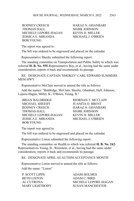RODNEY CREECH HARAZ N GHANBARI THOMAS HALL MARK JOHNSON MICHELE LEPORE-HAGAN KEVIN D. MILLER JESSICA E. MIRANDA MICHAEL J. O'BRIEN BOB YOUNG

The report was agreed to.

The bill was ordered to be engrossed and placed on the calendar.

Representative Sheehy submitted the following report:

The standing committee on Transportation and Public Safety to which was referred **H. B. No. 555**-Representative Ray, et al., having had the same under consideration, reports it back and recommends its passage.

RE: DESIGNATE CAPTAIN 'SMOKEY' CARL EDWARD SUMMERS MEM HWY

Representative McClain moved to amend the title as follows:

Add the names: "Baldridge, McClain, Sheehy, Ghanbari, Hall, Johnson, Lepore-Hagan, Miller, K., O'Brien, Young, B."

BRIAN BALDRIDGE RIORDAN T. MCCLAIN MICHAEL SHEEHY JUANITA O. BRENT RODNEY CREECH HARAZ N. GHANBARI THOMAS HALL MARK JOHNSON MICHELE LEPORE-HAGAN KEVIN D. MILLER JESSICA E. MIRANDA MICHAEL J. O'BRIEN BOB YOUNG

The report was agreed to.

The bill was ordered to be engrossed and placed on the calendar.

Representative Liston submitted the following report:

The standing committee on Health to which was referred **H. B. No. 242**- Representatives Young, B., Weinstein, et al., having had the same under consideration, reports it back and recommends its passage.

RE: DESIGNATE APRIL AS AUTISM ACCEPTANCE MONTH

Representative Liston moved to amend the title as follows:

Add the name: "Liston"

P. SCOTT LIPPS ADAM HOLMES BETH LISTON ADAM C. BIRD

AL CUTRONA MICHELE LEPORE-HAGAN MARY LIGHTBODY SUSAN MANCHESTER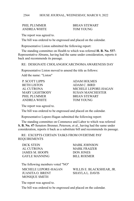ANDREA WHITE TOM YOUNG

PHIL PLUMMER BRIAN STEWART

The report was agreed to.

The bill was ordered to be engrossed and placed on the calendar.

Representative Liston submitted the following report:

The standing committee on Health to which was referred **H. B. No. 537**- Representative Abrams, having had the same under consideration, reports it back and recommends its passage.

RE: DESIGNATE CHOLANGIOCARCINOMA AWARENESS DAY

Representative Liston moved to amend the title as follows:

Add the name: "Liston"

| P. SCOTT LIPPS        |
|-----------------------|
| <b>BETH LISTON</b>    |
| AL CUTRONA            |
| <b>MARY LIGHTBODY</b> |
| PHIL PLUMMER          |
| <b>ANDREA WHITE</b>   |

**ADAM HOLMES** ADAM C. BIRD MICHELE LEPORE-HAGAN **SUSAN MANCHESTER BRIAN STEWART** TOM YOUNG

The report was agreed to.

The bill was ordered to be engrossed and placed on the calendar.

Representative Lepore-Hagan submitted the following report:

The standing committee on Commerce and Labor to which was referred **S. B. No. 47**-Senators Brenner, Peterson, et al., having had the same under consideration, reports it back as a substitute bill and recommends its passage.

RE: EXCEPTS CERTAIN TASKS FROM OVERTIME PAY REQUIREMENTS

DICK STEIN MARK JOHNSON AL CUTRONA MARK FRAIZER JAMES M. HOOPS DON JONES GAYLE MANNING BILL ROEMER

The following members voted "NO"

JUANITA O. BRENT SHAYLA L. DAVIS MONIQUE SMITH

MICHELE LEPORE-HAGAN WILLIS E. BLACKSHEAR, JR.

The report was agreed to.

The bill was ordered to be engrossed and placed on the calendar.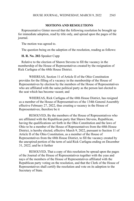# **MOTIONS AND RESOLUTIONS**

Representative Ginter moved that the following resolution be brought up for immediate adoption, read by title only, and spread upon the pages of the journal.

The motion was agreed to.

The question being on the adoption of the resolution, reading as follows:

#### **H. R. No. 202**-Speaker Cupp

Relative to the election of Shawn Stevens to fill the vacancy in the membership of the House of Representatives created by the resignation of Rick Carfagna of the 68th House District.

WHEREAS, Section 11 of Article II of the Ohio Constitution provides for the filling of a vacancy in the membership of the House of Representatives by election by the members of the House of Representatives who are affiliated with the same political party as the person last elected to the seat which has become vacant; and

WHEREAS, Rick Carfagna of the 68th House District, has resigned as a member of the House of Representatives of the 134th General Assembly effective February 27, 2022, thus creating a vacancy in the House of Representatives; therefore be it

RESOLVED, By the members of the House of Representatives who are affiliated with the Republican party that Shawn Stevens, Republican, having the qualifications set forth in the Ohio Constitution and the laws of Ohio to be a member of the House of Representatives from the 68th House District, is hereby elected, effective March 9, 2022, pursuant to Section 11 of Article II of the Ohio Constitution, as a member of the House of Representatives from the 68th House District, to fill the vacancy created by the unexpired portion of the term of said Rick Carfagna ending on December 31, 2022; and be it further

RESOLVED, That a copy of this resolution be spread upon the pages of the Journal of the House of Representatives together with the yeas and nays of the members of the House of Representatives affiliated with the Republican party voting on the resolution, and that the Clerk of the House of Representatives shall certify the resolution and vote on its adoption to the Secretary of State.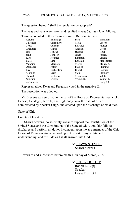The question being, "Shall the resolution be adopted?"

The yeas and nays were taken and resulted – yeas 58, nays 2, as follows:

Those who voted in the affirmative were: Representatives

| Abrams     | Baldridge  | <b>Bird</b>  | <b>Brinkman</b> |
|------------|------------|--------------|-----------------|
| Callender  | Carruthers | Click        | Creech          |
| Cross      | Cutrona    | Edwards      | Fraizer         |
| Ghanbari   | Ginter     | Grendell     | Gross           |
| Hall       | Hillyer    | Holmes       | Hoops           |
| John       | Johnson    | Jones        | Jordan          |
| Kick       | Koehler    | Lampton      | Lanese          |
| LaRe       | Lipps      | Loychik      | Manchester      |
| Manning    | McClain    | Merrin       | Miller, K.      |
| Oelslager  | Patton     | Pavliga      | Plummer         |
| Ray        | Richardson | Riedel       | Roemer          |
| Schmidt    | Seitz      | <b>Stein</b> | <b>Stephens</b> |
| Stewart    | Stoltzfus  | Swearingen   | White           |
| Wiggam     | Wilkin     | Young, B.    | Young, T.       |
| Zeltwanger |            |              | $Cupp-58$       |

Representatives Dean and Ferguson voted in the negative-2.

The resolution was adopted.

Mr. Stevens was escorted to the bar of the House by Representatives Kick, Lanese, Oelslager, Jarrells, and Lightbody, took the oath of office administered by Speaker Cupp, and entered upon the discharge of his duties.

State of Ohio

County of Franklin

I, Shawn Stevens, do solemnly swear to support the Constitution of the United States and the Constitution of the State of Ohio, and faithfully to discharge and perform all duties incumbent upon me as a member of the Ohio House of Representatives, according to the best of my ability and understanding; and this I do as I shall answer unto God.

> /s/ SHAWN STEVENS Shawn Stevens

Sworn to and subscribed before me this 9th day of March, 2022.

/s/ ROBERT R. CUPP

Robert R. Cupp Speaker House District 4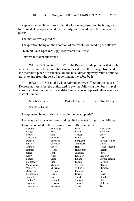Representative Ginter moved that the following resolution be brought up for immediate adoption, read by title only, and spread upon the pages of the journal.

The motion was agreed to.

The question being on the adoption of the resolution, reading as follows:

**H. R. No. 203**-Speaker Cupp, Representative Russo

Relative to travel allowance.

WHEREAS, Section 101.27 of the Revised Code provides that each member receive a travel reimbursement based upon the mileage from and to the member's place of residence, by the most direct highway route of public travel to and from the seat of government; therefore be it

RESOLVED, That the Chief Administrative Officer of the House of Representatives is hereby authorized to pay the following member's travel allowance based upon their round-trip mileage as set opposite their name and district number:

| Member's Name   | District Number | Round-Trip Mileage |
|-----------------|-----------------|--------------------|
| Shayla L. Davis |                 | 276                |

The question being, "Shall the resolution be adopted?"

The yeas and nays were taken and resulted – yeas 90, nays 0, as follows:

Those who voted in the affirmative were: Representatives

| Abrams       | Baldridge      | Bird       | Blackshear      |
|--------------|----------------|------------|-----------------|
| Boggs        | Boyd           | Brent      | <b>Brinkman</b> |
| <b>Brown</b> | Click          | Creech     | Cross           |
| Crossman     | Cutrona        | Davis      | Dean            |
| Denson       | Edwards        | Ferguson   | Fowler Arthur   |
| Fraizer      | Galonski       | Ghanbari   | Ginter          |
| Grendell     | Gross          | Hall       | Hicks-Hudson    |
| Holmes       | Hoops          | Humphrey   | Ingram          |
| Jarrells     | John           | Johnson    | Jones           |
| Kelly        | Kick           | Koehler    | Lampton         |
| Lanese       | LaRe           | Leland     | Lepore-Hagan    |
| Lightbody    | Lipps          | Liston     | Loychik         |
| Manchester   | Manning        | McClain    | Merrin          |
| Miller, A.   | Miller, J.     | Miller, K. | Miranda         |
| Oelslager    | Pavliga        | Plummer    | Ray             |
| Richardson   | Riedel         | Roemer     | Russo           |
| Schmidt      | Seitz          | Sheehy     | Skindell        |
| Smith, K.    | Smith, M.      | Sobecki    | Stein           |
| Stephens     | <b>Stevens</b> | Stewart    | Stoltzfus       |
| Swearingen   | Sweeney        | Sykes      | <b>Troy</b>     |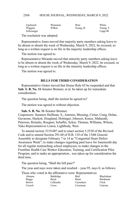| Upchurch   | Weinstein | West      | White         |
|------------|-----------|-----------|---------------|
| Wiggam     | Wilkin    | Young, B. | Young, T.     |
| Zeltwanger |           |           | $C$ upp- $90$ |

The resolution was adopted.

Representative Jones moved that majority party members asking leave to be absent or absent the week of Wednesday, March 9, 2022, be excused, so long as a written request is on file in the majority leadership offices.

The motion was agreed to.

Representative Miranda moved that minority party members asking leave to be absent or absent the week of Wednesday, March 9, 2022, be excused, so long as a written request is on file in the minority leadership offices.

The motion was agreed to.

#### **BILLS FOR THIRD CONSIDERATION**

Representative Ginter moved that House Rule 65 be suspended and that **Sub. S. B. No. 11**-Senator Brenner, et al. be taken up for immediate consideration.

The question being, shall the motion be agreed to?

The motion was agreed to without objection.

#### **Sub. S. B. No. 11**-Senator Brenner.

Cosponsors: Senators Huffman, S., Antonio, Blessing, Cirino, Craig, Dolan, Gavarone, Hackett, Hoagland, Hottinger, Johnson, Kunze, Maharath, Peterson, Reineke, Roegner, Schaffer, Sykes, Thomas, Williams, Wilson, Yuko Representatives Liston, Lightbody, West

To amend section 3319.087 and to enact section 5.2530 of the Revised Code and to amend Section 291.60 of H.B. 110 of the 134th General Assembly to designate February 7 to 14 as "Congenital Heart Defect Awareness Week"; to make changes regarding paid leave for Juneteenth day for all regular nonteaching school employees; to make changes to the Frontline Health Care Worker Education, Training, and Certification Pilot Program; and to make an appropriation., was taken up for consideration the third time.

The question being, "Shall the bill pass?"

The yeas and nays were taken and resulted – yeas 95, nays 0, as follows:

Those who voted in the affirmative were: Representatives

| Abrams | Baldridge | Bird         | Blackshear      |
|--------|-----------|--------------|-----------------|
| Boggs  | Bovd      | <b>Brent</b> | <b>Brinkman</b> |
| Brown  | Callender | Carruthers   | Click           |
| Creech | Cross     | Crossman     | Cutrona         |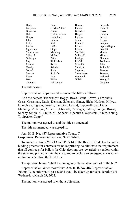| Davis      | Dean          | Denson          | Edwards        |
|------------|---------------|-----------------|----------------|
| Ferguson   | Fowler Arthur | Fraizer         | Galonski       |
| Ghanbari   | Ginter        | Grendell        | Gross          |
| Hall       | Hicks-Hudson  | Hillyer         | Holmes         |
| Hoops      | Humphrey      | Ingram          | Jarrells       |
| John       | Johnson       | Jones           | Jordan         |
| Kelly      | Kick          | Koehler         | Lampton        |
| Lanese     | LaRe          | Leland          | Lepore-Hagan   |
| Lightbody  | Lipps         | Liston          | Lovchik        |
| Manchester | Manning       | McClain         | Merrin         |
| Miller, A. | Miller, J.    | Miller, K.      | Miranda        |
| Oelslager  | Patton        | Pavliga         | Plummer        |
| Ray        | Richardson    | Riedel          | Robinson       |
| Roemer     | Russo         | Schmidt         | Seitz          |
| Sheehy     | Skindell      | Smith, K.       | Smith, M.      |
| Sobecki    | Stein         | <b>Stephens</b> | <b>Stevens</b> |
| Stewart    | Stoltzfus     | Swearingen      | Sweeney        |
| Sykes      | Troy          | Upchurch        | Weinstein      |
| West       | White         | Wilkin          | Young, B.      |
| Young, T.  | Zeltwanger    |                 | Cupp-95        |

The bill passed.

Representative Lipps moved to amend the title as follows:

Add the names: "Blackshear, Boggs, Boyd, Brent, Brown, Carruthers, Cross, Crossman, Davis, Denson, Galonski, Ginter, Hicks-Hudson, Hillyer, Humphrey, Ingram, Jarrells, Lampton, Leland, Lepore-Hagan, Lipps, Manning, Miller, A., Miller, J., Miranda, Oelslager, Patton, Pavliga, Russo, Sheehy, Smith, K., Smith, M., Sobecki, Upchurch, Weinstein, White, Young, T., Speaker Cupp."

The motion was agreed to and the title so amended.

The title as amended was agreed to.

**Am. H. B. No. 487**-Representative Young, T.

Cosponsors: Representatives Ray, Seitz, White.

To amend sections 3505.13 and 3505.14 of the Revised Code to change the bidding process for contracts for ballot printing, to eliminate the requirement that all contracts for ballots for Ohio elections are rewarded to vendors within the state and printed within the state, and to declare an emergency, was taken up for consideration the third time.

The question being, "Shall the emergency clause stand as part of the bill?"

Representative Ginter moved that **Am. H. B. No. 487**-Representative Young, T., be informally passed and that it be taken up for consideration on: Wednesday, March 23, 2022.

The motion was agreed to without objection.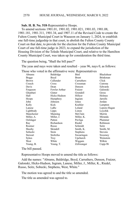#### **Sub. H. B. No. 518**-Representative Hoops.

To amend sections 1901.01, 1901.02, 1901.021, 1901.03, 1901.08, 1901.181, 1901.311, 1901.34, and 1907.11 of the Revised Code to create the Fulton County Municipal Court in Wauseon on January 1, 2024, to establish one full-time judgeship in that court, to abolish the Fulton County County Court on that date, to provide for the election for the Fulton County Municipal Court of one full-time judge in 2023, to expand the jurisdiction of the Housing Division of the Toledo Municipal Court, and relative to the Hamilton County Municipal Court, was taken up for consideration the third time.

The question being, "Shall the bill pass?"

The yeas and nays were taken and resulted – yeas 96, nays 0, as follows:

|                 | Those who voted in the affirmative were: Representatives |              |                   |
|-----------------|----------------------------------------------------------|--------------|-------------------|
| Abrams          | Baldridge                                                | <b>Bird</b>  | <b>Blackshear</b> |
| <b>Boggs</b>    | Boyd                                                     | <b>Brent</b> | <b>Brinkman</b>   |
| <b>Brown</b>    | Callender                                                | Carruthers   | Click             |
| Creech          | Cross                                                    | Crossman     | Cutrona           |
| Davis           | Dean                                                     | Denson       | Edwards           |
| Ferguson        | Fowler Arthur                                            | Fraizer      | Galonski          |
| Ghanbari        | Ginter                                                   | Grendell     | Gross             |
| Hall            | Hicks-Hudson                                             | Hillyer      | <b>Holmes</b>     |
| Hoops           | Humphrey                                                 | Ingram       | Jarrells          |
| John            | Johnson                                                  | Jones        | Jordan            |
| Kelly           | Kick                                                     | Koehler      | Lampton           |
| Lanese          | LaRe                                                     | Leland       | Lepore-Hagan      |
| Lightbody       | Lipps                                                    | Liston       | Lovchik           |
| Manchester      | Manning                                                  | McClain      | Merrin            |
| Miller, A.      | Miller, J.                                               | Miller, K.   | Miranda           |
| Oelslager       | Patton                                                   | Pavliga      | Plummer           |
| Ray             | Richardson                                               | Riedel       | Robinson          |
| Roemer          | Russo                                                    | Schmidt      | <b>Seitz</b>      |
| Sheehy          | Skindell                                                 | Smith, K.    | Smith, M.         |
| Sobecki         | Stein                                                    | Stephens     | <b>Stevens</b>    |
| Stewart         | Stoltzfus                                                | Swearingen   | Sweeney           |
| Sykes           | Troy                                                     | Upchurch     | Weinstein         |
| West            | White                                                    | Wiggam       | Wilkin            |
| Young, B.       | Young, T.                                                | Zeltwanger   | Cupp-96           |
| The hill nossed |                                                          |              |                   |

The bill passed.

Representative Hoops moved to amend the title as follows:

Add the names: "Abrams, Baldridge, Boyd, Carruthers, Denson, Fraizer, Galonski, Hicks-Hudson, Ingram, Lanese, Miller, J., Miller, K., Riedel, Russo, Seitz, Sobecki, Stephens, West, White."

The motion was agreed to and the title so amended.

The title as amended was agreed to.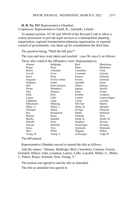**H. B. No. 531**-Representative Ghanbari.

Cosponsors: Representatives Smith, K., Galonski, Leland.

To amend sections 167.05 and 309.09 of the Revised Code to allow a county prosecutor to provide legal services to a metropolitan planning organization, regional transportation planning organization, or regional council of governments, was taken up for consideration the third time.

The question being, "Shall the bill pass?"

The yeas and nays were taken and resulted – yeas 96, nays 0, as follows:

| Abrams       | Baldridge     | Bird         | <b>Blackshear</b> |
|--------------|---------------|--------------|-------------------|
| <b>Boggs</b> | Boyd          | <b>Brent</b> | <b>Brinkman</b>   |
| <b>Brown</b> | Callender     | Carruthers   | Click             |
| Creech       | Cross         | Crossman     | Cutrona           |
| Davis        | Dean          | Denson       | Edwards           |
|              |               |              |                   |
| Ferguson     | Fowler Arthur | Fraizer      | Galonski          |
| Ghanbari     | Ginter        | Grendell     | Gross             |
| Hall         | Hicks-Hudson  | Hillyer      | Holmes            |
| Hoops        | Humphrey      | Ingram       | Jarrells          |
| John         | Johnson       | Jones        | Jordan            |
| Kelly        | Kick          | Koehler      | Lampton           |
| Lanese       | LaRe          | Leland       | Lepore-Hagan      |
| Lightbody    | Lipps         | Liston       | Loychik           |
| Manchester   | Manning       | McClain      | Merrin            |
| Miller, A.   | Miller, J.    | Miller, K.   | Miranda           |
| Oelslager    | Patton        | Pavliga      | Plummer           |
| Ray          | Richardson    | Riedel       | Robinson          |
| Roemer       | Russo         | Schmidt      | Seitz             |
| Sheehy       | Skindell      | Smith, K.    | Smith, M.         |
| Sobecki      | Stein         | Stephens     | <b>Stevens</b>    |
| Stewart      | Stoltzfus     | Swearingen   | Sweeney           |
| Sykes        | Troy          | Upchurch     | Weinstein         |
| West         | White         | Wiggam       | Wilkin            |
| Young, B.    | Young, T.     | Zeltwanger   | $Cupp-96$         |
|              |               |              |                   |

Those who voted in the affirmative were: Representatives

The bill passed.

Representative Ghanbari moved to amend the title as follows:

Add the names: "Abrams, Baldridge, Bird, Carruthers, Cutrona, Fraizer, Grendell, Hillyer, John, Lampton, Lanese, LaRe, Loychik, Miller, A., Miller, J., Patton, Russo, Schmidt, Seitz, Young, T."

The motion was agreed to and the title so amended.

The title as amended was agreed to.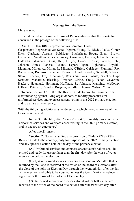#### Message from the Senate

Mr. Speaker:

I am directed to inform the House of Representatives that the Senate has concurred in the passage of the following bill:

#### **Am. H. B. No. 188** - Representatives Lampton, Cross

Cosponsors: Representatives Seitz, Ingram, Young, T., Riedel, LaRe, Ginter, Kick, Carfagna, Abrams, Baldridge, Blackshear, Boggs, Brent, Brown, Callender, Carruthers, Click, Crawley, Crossman, Denson, Edwards, Fraizer, Galonski, Ghanbari, Gross, Hall, Hillyer, Hoops, Howse, Jarrells, John, Johnson, Jones, Lanese, Leland, Lepore-Hagan, Lightbody, Loychik, Manning, Miller, A., Miller, J., Miranda, O'Brien, Oelslager, Plummer, Ray, Richardson, Robinson, Roemer, Russo, Schmidt, Sheehy, Skindell, Sobecki, Stein, Sweeney, Troy, Upchurch, Weinstein, West, White, Speaker Cupp Senators Maharath, Blessing, Brenner, Cirino, Craig, Fedor, Gavarone, Hackett, Hoagland, Hottinger, Huffman, S., Johnson, Manning, McColley, O'Brien, Peterson, Reineke, Roegner, Schaffer, Thomas, Wilson, Yuko

To enact section 3901.80 of the Revised Code to prohibit insurers from discriminating against living organ donors, to modify procedures for uniformed services and overseas absent voting in the 2022 primary election, and to declare an emergency.

With the following additional amendments, in which the concurrence of the House is requested.

In line 3 of the title, after "donors" insert ", to modify procedures for uniformed services and overseas absent voting in the 2022 primary election, and to declare an emergency"

After line 21, insert:

"**Section 2.** Notwithstanding any provision of Title XXXV of the Revised Code to the contrary, only for purposes of the 2022 primary election and any special election held on the day of the primary election:

(A) Uniformed services and overseas absent voter's ballots shall be printed and ready for use not later than the first day after the close of voter registration before the election.

(B)(1) A uniformed services or overseas absent voter's ballot that is returned by mail and is received at the office of the board of elections after the close of the polls on Election Day through the twentieth day after the day of the election is eligible to be counted, unless the identification envelope is signed after the close of the polls on Election Day.

(2) Uniformed services or overseas absent voter's ballots that are received at the office of the board of elections after the twentieth day after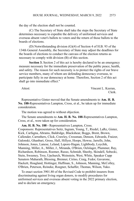the day of the election shall not be counted.

(C) The Secretary of State shall take the steps the Secretary of State determines necessary to expedite the delivery of uniformed services and overseas absent voter's ballots to voters and the return of those ballots to the boards of elections.

(D) Notwithstanding division (G)(4) of Section 4 of H.B. 93 of the 134th General Assembly, the Secretary of State may adjust the deadlines for the boards of elections to conduct the canvass of the election returns as necessary to comply with division (B) of this section.

**Section 3.** Section 2 of this act is hereby declared to be an emergency measure necessary for the immediate preservation of the public peace, health, and safety. The reason for such necessity is to protect the rights of our brave service members, many of whom are defending democracy overseas, to participate fully in our democracy at home. Therefore, Section 2 of this act shall go into immediate effect."

Attest: Vincent L. Keeran, Clerk.

Representative Ginter moved that the Senate amendments to **Am. H. B. No. 188-**Representatives Lampton, Cross, et al., be taken up for immediate consideration.

The motion was agreed to without objection.

The Senate amendments to **Am. H. B. No. 188**-Representatives Lampton, Cross, et al., were taken up for consideration.

**Am. H. B. No. 188 -** Representatives Lampton, Cross. Cosponsors: Representatives Seitz, Ingram, Young, T., Riedel, LaRe, Ginter, Kick, Carfagna, Abrams, Baldridge, Blackshear, Boggs, Brent, Brown, Callender, Carruthers, Click, Crawley, Crossman, Denson, Edwards, Fraizer, Galonski, Ghanbari, Gross, Hall, Hillyer, Hoops, Howse, Jarrells, John, Johnson, Jones, Lanese, Leland, Lepore-Hagan, Lightbody, Loychik, Manning, Miller, A., Miller, J., Miranda, O'Brien, Oelslager, Plummer, Ray, Richardson, Robinson, Roemer, Russo, Schmidt, Sheehy, Skindell, Sobecki, Stein, Sweeney, Troy, Upchurch, Weinstein, West, White, Speaker Cupp Senators Maharath, Blessing, Brenner, Cirino, Craig, Fedor, Gavarone, Hackett, Hoagland, Hottinger, Huffman, S., Johnson, Manning, McColley, O'Brien, Peterson, Reineke, Roegner, Schaffer, Thomas, Wilson, Yuko.

To enact section 3901.80 of the Revised Code to prohibit insurers from discriminating against living organ donors, to modify procedures for uniformed services and overseas absent voting in the 2022 primary election, and to declare an emergency.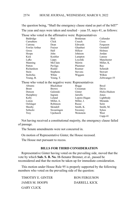#### HOUSE JOURNAL, WEDNESDAY, MARCH 9, 2022 2574

The question being, "Shall the emergency clause stand as part of the bill?" The yeas and nays were taken and resulted – yeas 55, nays 41, as follows:

|                  |                   | Those who voted in the affirmative were: Representatives |                |
|------------------|-------------------|----------------------------------------------------------|----------------|
| Baldridge        | <b>Bird</b>       | <b>Brinkman</b>                                          | Callender      |
| Carruthers       | Click             | Creech                                                   | Cross          |
| Cutrona          | Dean              | Edwards                                                  | Ferguson       |
| Fowler Arthur    | Fraizer           | Ghanbari                                                 | Grendell       |
| Gross            | Hall              | Hillyer                                                  | Holmes         |
| Hoops            | John              | Johnson                                                  | Jordan         |
| Kick             | Koehler           | Lampton                                                  | Lanese         |
| LaRe             | Lipps             | Loychik                                                  | Manchester     |
| Manning          | McClain           | Merrin                                                   | Miller, K.     |
| Patton           | Pavliga           | Plummer                                                  | Ray            |
| Richardson       | Riedel            | Roemer                                                   | Schmidt        |
| Stein            | Stephens          | <b>Stevens</b>                                           | <b>Stewart</b> |
| <b>Stoltzfus</b> | White             | Wiggam                                                   | Wilkin         |
| Young, B.        | Young, T.         |                                                          | Zeltwanger-55  |
|                  |                   | Those who voted in the negative were: Representatives    |                |
| Abrams           | <b>Blackshear</b> | <b>Boggs</b>                                             | Boyd           |
| <b>Brent</b>     | <b>Brown</b>      | Crossman                                                 | Davis          |
| Denson           | Galonski          | Ginter                                                   | Hicks-Hudson   |
| Humphrey         | Ingram            | <b>Jarrells</b>                                          | Jones          |
| Kelly            | Leland            | Lepore-Hagan                                             | Lightbody      |
| Liston           | Miller, A.        | Miller, J.                                               | Miranda        |
| Oelslager        | Robinson          | Russo                                                    | <b>Seitz</b>   |
| Sheehy           | Skindell          | Smith, K.                                                | Smith, M.      |
| Sobecki          | Swearingen        | Sweeney                                                  | Sykes          |
| <b>Troy</b>      | Upchurch          | Weinstein                                                | West           |
|                  |                   |                                                          | $Cupp-41$      |

Not having received a constitutional majority, the emergency clause failed of passage.

The Senate amendments were not concurred in.

On motion of Representative Ginter, the House recessed.

The House met pursuant to recess.

#### **BILLS FOR THIRD CONSIDERATION**

Representative Ginter having voted on the prevailing side, moved that the vote by which **Sub. S. B. No. 11-**Senator Brenner, et al., passed be reconsidered and that the motion be taken up for immediate consideration.

This motion under House Rule 95 is properly supported by the following members who voted on the prevailing side of the question:

TIMOTHY E. GINTER RON FERGUSON JAMES M. HOOPS DARRELL KICK GARY CLICK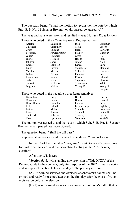The question being, "Shall the motion to reconsider the vote by which **Sub. S. B. No. 11-**Senator Brenner, et al., passed be agreed to?"

The yeas and nays were taken and resulted – yeas 61, nays 32, as follows: Those who voted in the affirmative were: Representatives

| Abrams                                                | Baldridge     | Bird         | <b>Brinkman</b> |
|-------------------------------------------------------|---------------|--------------|-----------------|
| Callender                                             | Carruthers    | Click        | Creech          |
| Cross                                                 | Cutrona       | Dean         | Edwards         |
| Ferguson                                              | Fowler Arthur | Fraizer      | Ghanbari        |
| Ginter                                                | Grendell      | Gross        | Hall            |
| Hillyer                                               | Holmes        | Hoops        | John            |
| Johnson                                               | Jones         | Jordan       | Kick            |
| Koehler                                               | Lampton       | Lanese       | LaRe            |
| Lipps                                                 | Loychik       | Manchester   | Manning         |
| McClain                                               | Merrin        | Miller, K.   | Oelslager       |
| Patton                                                | Pavliga       | Plummer      | Ray             |
| Richardson                                            | Riedel        | Roemer       | Schmidt         |
| Seitz                                                 | Stein         | Stephens     | <b>Stevens</b>  |
| Stewart                                               | Stoltzfus     | Swearingen   | White           |
| Wiggam                                                | Wilkin        | Young, B.    | Young, T.       |
|                                                       |               |              | $Cupp-61$       |
| Those who voted in the negative were: Representatives |               |              |                 |
| <b>Blackshear</b>                                     | <b>Boggs</b>  | <b>Brent</b> | <b>Brown</b>    |
| Crossman                                              | Davis         | Denson       | Galonski        |
| Hicks-Hudson                                          | Humphrey      | Ingram       | Jarrells        |
| Kelly                                                 | Leland        | Lepore-Hagan | Lightbody       |
| Liston                                                | Miller, J.    | Miranda      | Robinson        |
| Russo                                                 | Sheehy        | Skindell     | Smith, K.       |
| Smith, M.                                             | Sobecki       | Sweeney      | Sykes           |
| Troy                                                  | Upchurch      | Weinstein    | West-32         |
|                                                       |               |              |                 |

The motion was agreed to and the vote by which **Sub. S. B. No. 11**-Senator Brenner, et al., passed was reconsidered.

The question being, "Shall the bill pass?"

Representative Seitz moved to amend, amendment 2784, as follows:

In line 10 of the title, after "Program;" insert "to modify procedures for uniformed services and overseas absent voting in the 2022 primary election;"

After line 151, insert:

"**Section 5.** Notwithstanding any provision of Title XXXV of the Revised Code to the contrary, only for purposes of the 2022 primary election and any special election held on the day of the primary election:

(A) Uniformed services and overseas absent voter's ballots shall be printed and ready for use not later than the first day after the close of voter registration before the election.

(B)(1) A uniformed services or overseas absent voter's ballot that is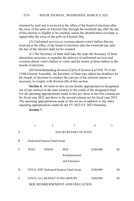returned by mail and is received at the office of the board of elections after the close of the polls on Election Day through the twentieth day after the day of the election is eligible to be counted, unless the identification envelope is signed after the close of the polls on Election Day.

(2) Uniformed services or overseas absent voter's ballots that are received at the office of the board of elections after the twentieth day after the day of the election shall not be counted.

(C) The Secretary of State shall take the steps the Secretary of State determines necessary to expedite the delivery of uniformed services and overseas absent voter's ballots to voters and the return of those ballots to the boards of elections.

(D) Notwithstanding division (G)(4) of Section 4 of H.B. 93 of the 134th General Assembly, the Secretary of State may adjust the deadlines for the boards of elections to conduct the canvass of the election returns as necessary to comply with division (B) of this section.

**Section 6.** All items in this act are hereby appropriated as designated out of any moneys in the state treasury to the credit of the designated fund. For all operating appropriations made in this act, those in the first column are for fiscal year 2022 and those in the second column are for fiscal year 2023. The operating appropriations made in this act are in addition to any other operating appropriations made for the FY 2022-FY 2023 biennium.

 $1 2 3 4 5$ A SOS SECRETARY OF STATE B Dedicated Purpose Fund Group C 5FGO 050620 BOE Reimbursement and Education \$200,000 \$0 D TOTAL DPF Dedicated Purpose Fund Group \$200,000 \$0 E TOTAL ALL BUDGET FUND GROUPS \$200,000 \$0 BOE REIMBURSEMENT AND EDUCATION

**Section 7.**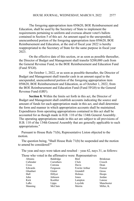The foregoing appropriation item 050620, BOE Reimbursement and Education, shall be used by the Secretary of State to implement the requirements pertaining to uniform and overseas absent voter's ballots contained in Section 5 of this act. An amount equal to the unexpended, unencumbered portion of the foregoing appropriation item 050620, BOE Reimbursement and Education, at the end of fiscal year 2022 is hereby reappropriated to the Secretary of State for the same purpose in fiscal year 2023.

On the effective date of this section, or as soon as possible thereafter, the Director of Budget and Management shall transfer \$200,000 cash from the General Revenue Fund, to the BOE Reimbursement and Education Fund (Fund 5FG0).

On October 1, 2022, or as soon as possible thereafter, the Director of Budget and Management shall transfer cash in an amount equal to the unexpended, unencumbered portion of the foregoing appropriation item 050620, BOE Reimbursement and Education, as of October 1, 2022, from the BOE Reimbursement and Education Fund (Fund 5FG0) to the General Revenue Fund (GRF).

**Section 8.** Within the limits set forth in this act, the Director of Budget and Management shall establish accounts indicating the source and amount of funds for each appropriation made in this act, and shall determine the form and manner in which appropriation accounts shall be maintained. Expenditures from operating appropriations contained in this act shall be accounted for as though made in H.B. 110 of the 134th General Assembly. The operating appropriations made in this act are subject to all provisions of H.B. 110 of the 134th General Assembly that are generally applicable to such appropriations."

Pursuant to House Rule 71(b), Representative Liston objected to the motion.

The question being, "Shall House Rule 71(b) be suspended and the motion to amend be considered?"

The yeas and nays were taken and resulted – yeas 62, nays 31, as follows:

Those who voted in the affirmative were: Representatives

| Abrams    | Baldridge  | Bird          | <b>Brinkman</b> |
|-----------|------------|---------------|-----------------|
| Callender | Carruthers | Click         | Creech          |
| Cross     | Cutrona    | Davis         | Dean            |
| Edwards   | Ferguson   | Fowler Arthur | Fraizer         |
| Ghanbari  | Ginter     | Grendell      | Gross           |
| Hall      | Hillyer    | Holmes        | Hoops           |
| John      | Johnson    | Jones         | Jordan          |
| Kick      | Koehler    | Lampton       | Lanese          |
| LaRe      | Lipps      | Loychik       | Manchester      |
| Manning   | McClain    | Merrin        | Miller, K.      |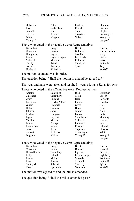#### HOUSE JOURNAL, WEDNESDAY, MARCH 9, 2022 2578

| Oelslager      | Patton     | Pavliga   | Plummer         |
|----------------|------------|-----------|-----------------|
| Ray            | Richardson | Riedel    | Roemer          |
| Schmidt        | Seitz      | Stein     | <b>Stephens</b> |
| <b>Stevens</b> | Stewart    | Stoltzfus | Swearingen      |
| White          | Wiggam     | Wilkin    | Young, B.       |
| Young, T.      |            |           | $Cupp-62$       |

#### Those who voted in the negative were: Representatives

| <b>Blackshear</b> | <b>Boggs</b> | <b>Brent</b> | <b>Brown</b> |
|-------------------|--------------|--------------|--------------|
| Crossman          | Denson       | Galonski     | Hicks-Hudson |
| Humphrey          | Ingram       | Jarrells     | Kelly        |
| Leland            | Lepore-Hagan | Lightbody    | Liston       |
| Miller, J.        | Miranda      | Robinson     | Russo        |
| Sheehy            | Skindell     | Smith, K.    | Smith, M.    |
| Sobecki           | Sweeney      | <b>Sykes</b> | <b>Troy</b>  |
| Upchurch          | Weinstein    |              | West-31      |

The motion to amend was in order.

The question being, "Shall the motion to amend be agreed to?"

The yeas and nays were taken and resulted – yeas 61, nays 32, as follows:

Those who voted in the affirmative were: Representatives

| Abrams     | Baldridge        | Bird            | <b>Brinkman</b> |
|------------|------------------|-----------------|-----------------|
| Callender  | Carruthers       | Click           | Creech          |
| Cross      | Cutrona          | Dean            | Edwards         |
| Ferguson   | Fowler Arthur    | Fraizer         | Ghanbari        |
| Ginter     | Grendell         | Gross           | Hall            |
| Hillyer    | Holmes           | Hoops           | John            |
| Johnson    | Jones            | Jordan          | Kick            |
| Koehler    | Lampton          | Lanese          | LaRe            |
| Lipps      | Loychik          | Manchester      | Manning         |
| McClain    | Merrin           | Miller, K.      | Oelslager       |
| Patton     | Pavliga          | Plummer         | Ray             |
| Richardson | Riedel           | Roemer          | Schmidt         |
| Seitz      | Stein            | <b>Stephens</b> | <b>Stevens</b>  |
| Stewart    | <b>Stoltzfus</b> | Swearingen      | White           |
| Wiggam     | Wilkin           | Young, B.       | Young, T.       |
|            |                  |                 | $Cupp-61$       |

# Those who voted in the negative were: Representatives

| Blackshear   | <b>Boggs</b> | <b>Brent</b> | <b>Brown</b> |
|--------------|--------------|--------------|--------------|
| Crossman     | Davis        | Denson       | Galonski     |
| Hicks-Hudson | Humphrey     | Ingram       | Jarrells     |
| Kelly        | Leland       | Lepore-Hagan | Lightbody    |
| Liston       | Miller, J.   | Miranda      | Robinson     |
| Russo        | Sheehy       | Skindell     | Smith, K.    |
| Smith, M.    | Sobecki      | Sweeney      | <b>Sykes</b> |
| Troy         | Upchurch     | Weinstein    | West-32      |
|              |              |              |              |

The motion was agreed to and the bill so amended.

The question being, "Shall the bill as amended pass?"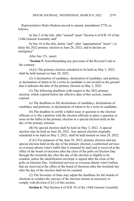Representative Hicks-Hudson moved to amend, amendment 2770, as follows:

In line 2 of the title, after "amend" insert "Section 4 of H.B. 93 of the 134th General Assembly and"

In line 10 of the title, delete "and"; after "appropriation" insert "; to delay the 2022 primary election to June 28, 2022; and to declare an emergency"

After line 151, insert:

"**Section 5.** Notwithstanding any provision of the Revised Code to the contrary:

(A)(1) The primary election scheduled to be held on May 3, 2022, shall be held instead on June 28, 2022.

(2) A declaration of candidacy, declaration of candidacy and petition, or declaration of intent to be a write-in candidate is not invalid on the ground that it indicates the date of the primary election as May 3, 2022.

(3) The following deadlines with respect to the 2022 primary election, which expired before the effective date of this section, remain expired:

(a) The deadlines to file declarations of candidacy, declarations of candidacy and petitions, or declarations of intent to be a write-in candidate;

(b) The deadline to certify a ballot issue or question to the election officials or to file a petition with the election officials to place a question or issue on the ballot at the primary election or a special election held on the day of the primary election.

(B) No special election shall be held on May 3, 2022. A special election may be held on June 28, 2022. Any special election originally scheduled to be held on May 3, 2022, shall be held instead on June 28, 2022.

(C)(1) For purposes of the June 28, 2022, primary election and any special election held on the day of the primary election, a uniformed services or overseas absent voter's ballot that is returned by mail and is received at the office of the board of elections after the close of the polls on Election Day through the twentieth day after the day of the election is eligible to be counted, unless the identification envelope is signed after the close of the polls on Election Day. Uniformed services or overseas absent voter's ballots that are received at the office of the board of elections after the twentieth day after the day of the election shall not be counted.

(2) The Secretary of State may adjust the deadlines for the boards of elections to conduct the canvass of the election returns as necessary to comply with division (C)(1) of this section.

**Section 6.** That Section 4 of H.B. 93 of the 134th General Assembly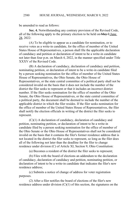be amended to read as follows:

**Sec. 4.** Notwithstanding any contrary provision of the Revised Code, all of the following apply to the primary election to be held on  $\frac{\text{May } 3 \text{ June}}{2}$ 28, 2022:

(A) To be eligible to appear as a candidate for nomination, or to receive votes as a write-in candidate, for the office of member of the United States House of Representatives, a person shall file the applicable declaration of candidacy and petition or declaration of intent to be a write-in candidate not later than four p.m. on March 4, 2022, in the manner specified under Title XXXV of the Revised Code.

(B) A declaration of candidacy, declaration of candidacy and petition, nominating petition, or declaration of intent to be a write-in candidate filed by a person seeking nomination for the office of member of the United States House of Representatives, the Ohio Senate, the Ohio House of Representatives, or the state central committee of a political party shall not be considered invalid on the basis that it does not include the number of the district the filer seeks to represent or that it includes an incorrect district number. If the filer seeks nomination for the office of member of the Ohio Senate, the Ohio House of Representatives, or the state central committee of a political party, the document shall be deemed to include the number of the applicable district in which the filer resides. If the filer seeks nomination for the office of member of the United States House of Representatives, the filer shall notify the election officials in writing of the district the filer seeks to represent.

(C)(1) A declaration of candidacy, declaration of candidacy and petition, nominating petition, or declaration of intent to be a write-in candidate filed by a person seeking nomination for the office of member of the Ohio Senate or the Ohio House of Representatives shall not be considered invalid on the basis that it contains the filer's former residence address that is not located in the district the filer seeks to represent, so long as the filer does all of the following not later than the deadline for the filer to change residence under division (C) of Article XI, Section 9, Ohio Constitution:

(a) Becomes a resident of the district the filer seeks to represent;

(b) Files with the board of elections an addendum to the declaration of candidacy, declaration of candidacy and petition, nominating petition, or declaration of intent to be a write-in candidate that indicates the filer's new residence address;

(c) Submits a notice of change of address for voter registration purposes.

(2) After a filer notifies the board of elections of the filer's new residence address under division  $(C)(1)$  of this section, the signatures on the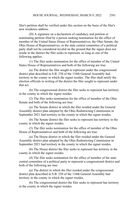filer's petition shall be verified under this section on the basis of the filer's new residence address.

(D) A signature on a declaration of candidacy and petition or nominating petition filed by a person seeking nomination for the office of member of the United States House of Representatives, the Ohio Senate, the Ohio House of Representatives, or the state central committee of a political party shall not be considered invalid on the ground that the signer does not reside in the district the filer seeks to represent, so long as one of the following applies:

(1) The filer seeks nomination for the office of member of the United States House of Representatives and both of the following are true:

(a) The district the filer sought to represent under the congressional district plan described in S.B. 258 of the 134th General Assembly had territory in the county in which the signer resides. The filer shall notify the election officials in writing of the district the filer sought to represent under that act.

(b) The congressional district the filer seeks to represent has territory in the county in which the signer resides.

(2) The filer seeks nomination for the office of member of the Ohio Senate and both of the following are true:

(a) The Senate district in which the filer resided under the General Assembly district plan adopted by the Ohio Redistricting Commission in September 2021 had territory in the county in which the signer resides.

(b) The Senate district the filer seeks to represent has territory in the county in which the signer resides.

(3) The filer seeks nomination for the office of member of the Ohio House of Representatives and both of the following are true:

(a) The House district in which the filer resided under the General Assembly district plan adopted by the Ohio Redistricting Commission in September 2021 had territory in the county in which the signer resides.

(b) The House district the filer seeks to represent has territory in the county in which the signer resides.

(4) The filer seeks nomination for the office of member of the state central committee of a political party to represent a congressional district and both of the following are true:

(a) The district in which the filer resided under the congressional district plan described in S.B. 258 of the 134th General Assembly had territory in the county in which the signer resides.

(b) The congressional district the filer seeks to represent has territory in the county in which the signer resides.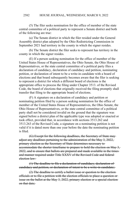(5) The filer seeks nomination for the office of member of the state central committee of a political party to represent a Senate district and both of the following are true:

(a) The Senate district in which the filer resided under the General Assembly district plan adopted by the Ohio Redistricting Commission in September 2021 had territory in the county in which the signer resides.

(b) The Senate district the filer seeks to represent has territory in the county in which the signer resides.

(E) If a person seeking nomination for the office of member of the United States House of Representatives, the Ohio Senate, the Ohio House of Representatives, or the state central committee of a political party files a declaration of candidacy, declaration of candidacy and petition, nominating petition, or declaration of intent to be a write-in candidate with a board of elections and that board subsequently becomes aware that the filer is seeking to represent a district for which a different board of elections is the appropriate office to process the filing under Chapter 3513. of the Revised Code, the board of elections that originally received the filing promptly shall transfer that filing to the appropriate board of elections.

(F) A signature on a declaration of candidacy and petition or nominating petition filed by a person seeking nomination for the office of member of the United States House of Representatives, the Ohio Senate, the Ohio House of Representatives, or the state central committee of a political party shall not be considered invalid on the ground that the signature was signed before a district plan of the applicable type was adopted or enacted or took effect, provided that, in accordance with sections 3513.262 and 3513.263 of the Revised Code, a signature on a nominating petition is not valid if it is dated more than one year before the date the nominating petition is filed.

(G) Except for the following deadlines, the Secretary of State may adjust any deadlines pertaining to the administration of the May 3, 2022, primary election as the Secretary of State determines necessary to accommodate the shorter timeframe to prepare to hold the election on May 3, 2022, and to ensure that ballots are prepared and made available in the times and manner required under Title XXXV of the Revised Code and federalelection law:

(1) The deadline to file a declaration of candidacy, declaration of candidacy and petition, or declaration of intent to be a write-in candidate;

(2) The deadline to certify a ballot issue or question to the election officials or to file a petition with the election officials to place a question or issue on the ballot at the May 3, 2022, primary election or a special election on that date: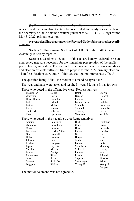(3) The deadline for the boards of elections to have uniformed services and overseas absent voter's ballots printed and ready for use, unlessthe Secretary of State obtains a waiver pursuant to  $52 \text{ U.S.C. } 20302(g)$  for the May 3, 2022, primary election;

(4) Any deadline that, under the Revised Code, falls on or after April 3, 2022.

**Section 7.** That existing Section 4 of H.B. 93 of the 134th General Assembly is hereby repealed.

**Section 8.** Sections 5, 6, and 7 of this act are hereby declared to be an emergency measure necessary for the immediate preservation of the public peace, health, and safety. The reason for such necessity is to allow candidates and election officials sufficient time to prepare for the 2022 primary election. Therefore, Sections 5, 6, and 7 of this act shall go into immediate effect."

The question being, "Shall the motion to amend be agreed to?"

The yeas and nays were taken and resulted – yeas 32, nays 61, as follows:

Those who voted in the affirmative were: Representatives

| <b>Blackshear</b> | Boggs                                                 | <b>Brent</b> | <b>Brown</b>    |
|-------------------|-------------------------------------------------------|--------------|-----------------|
| Crossman          | Davis                                                 | Denson       | Galonski        |
| Hicks-Hudson      | Humphrey                                              | Ingram       | Jarrells        |
| Kelly             | Leland                                                | Lepore-Hagan | Lightbody       |
| Liston            | Miller, J.                                            | Miranda      | Robinson        |
| Russo             | Sheehy                                                | Skindell     | Smith, K.       |
| Smith, M.         | Sobecki                                               | Sweeney      | Sykes           |
| Troy              | Upchurch                                              | Weinstein    | West-32         |
|                   | Those who voted in the negative were: Representatives |              |                 |
| Abrams            | Baldridge                                             | Bird         | <b>Brinkman</b> |
| Callender         | Carruthers                                            | Click        | Creech          |
| Cross             | Cutrona                                               | Dean         | Edwards         |
| Ferguson          | Fowler Arthur                                         | Fraizer      | Ghanbari        |
| Ginter            | Grendell                                              | Gross        | Hall            |
| Hillyer           | Holmes                                                | Hoops        | John            |
| Johnson           | Jones                                                 | Jordan       | Kick            |
| Koehler           | Lampton                                               | Lanese       | LaRe            |
| Lipps             | Loychik                                               | Manchester   | Manning         |
| McClain           | Merrin                                                | Miller, K.   | Oelslager       |
| Patton            | Pavliga                                               | Plummer      | Ray             |
| Richardson        | Riedel                                                | Roemer       | Schmidt         |
| Seitz             | Stein                                                 | Stephens     | <b>Stevens</b>  |
| Stewart           | Stoltzfus                                             | Swearingen   | White           |
| Wiggam            | Wilkin                                                | Young, B.    | Young, T.       |
|                   |                                                       |              | Cupp-61         |

The motion to amend was not agreed to.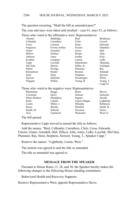#### HOUSE JOURNAL, WEDNESDAY, MARCH 9, 2022 2584

The question recurring, "Shall the bill as amended pass?"

Those who voted in the affirmative were: Representatives

The yeas and nays were taken and resulted – yeas 61, nays 32, as follows:

| <b>A</b> brams    | Baldridge                                             | Bird         | <b>Brinkman</b> |
|-------------------|-------------------------------------------------------|--------------|-----------------|
| Callender         | Carruthers                                            | Click        | Creech          |
| Cross             | Cutrona                                               | Dean         | Edwards         |
| Ferguson          | Fowler Arthur                                         | Fraizer      | Ghanbari        |
| Ginter            | Grendell                                              | Gross        | Hall            |
| Hillyer           | Holmes                                                | Hoops        | John            |
| Johnson           | Jones                                                 | Jordan       | Kick            |
| Koehler           | Lampton                                               | Lanese       | LaRe            |
| Lipps             | Loychik                                               | Manchester   | Manning         |
| McClain           | Merrin                                                | Miller, K.   | Oelslager       |
| Patton            | Pavliga                                               | Plummer      | Ray             |
| Richardson        | Riedel                                                | Roemer       | Schmidt         |
| Seitz             | Stein                                                 | Stephens     | <b>Stevens</b>  |
| Stewart           | Stoltzfus                                             | Swearingen   | White           |
| Wiggam            | Wilkin                                                | Young, B.    | Young, T.       |
|                   |                                                       |              | $Cupp-61$       |
|                   | Those who voted in the negative were: Representatives |              |                 |
| <b>Blackshear</b> | <b>Boggs</b>                                          | <b>Brent</b> | <b>Brown</b>    |
| Crossman          | Davis                                                 | Denson       | Galonski        |
| Hicks-Hudson      | Humphrey                                              | Ingram       | Jarrells        |
| Kelly             | Leland                                                | Lepore-Hagan | Lightbody       |
| Liston            | Miller, J.                                            | Miranda      | Robinson        |
| Russo             | Sheehy                                                | Skindell     | Smith, K.       |
| Smith, M.         | Sobecki                                               | Sweeney      | Sykes           |
| Troy              | Upchurch                                              | Weinstein    | West-32         |
|                   |                                                       |              |                 |

The bill passed.

Representative Lipps moved to amend the title as follows:

Add the names: "Bird, Callender, Carruthers, Click, Cross, Edwards, Fraizer, Ginter, Grendell, Hall, Hillyer, John, Jones, LaRe, Loychik, McClain, Plummer, Ray, Stein, Stephens, Stewart, Young, T., Speaker Cupp."

Remove the names: "Lightbody, Liston, West."

The motion was agreed to and the title so amended.

The title as amended was agreed to.

#### **MESSAGE FROM THE SPEAKER**

Pursuant to House Rules 13, 28, and 30, the Speaker hereby makes the following changes to the following House standing committees:

Behavioral Health and Recovery Supports:

Remove Representative West; appoint Representative Davis.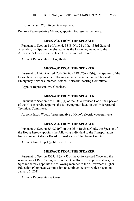Economic and Workforce Development:

Remove Representative Miranda; appoint Representative Davis.

## **MESSAGE FROM THE SPEAKER**

Pursuant to Section 1 of Amended S.B. No. 24 of the 133rd General Assembly, the Speaker hereby appoints the following member to the Alzheimer's Disease and Related Dementias Task Force:

Appoint Representative Lightbody.

#### **MESSAGE FROM THE SPEAKER**

Pursuant to Ohio Revised Code Section 128.02(A)(1)(b), the Speaker of the House hereby appoints the following member to serve on the Statewide Emergency Services Internet Protocol Network Steering Committee:

Appoint Representative Ghanbari.

#### **MESSAGE FROM THE SPEAKER**

Pursuant to Section 3781.34(B)(4) of the Ohio Revised Code, the Speaker of the House hereby appoints the following individual to the Underground Technical Committee:

Appoint Jason Woods (representative of Ohio's electric cooperatives).

#### **MESSAGE FROM THE SPEAKER**

Pursuant to Section 5540.02(C) of the Ohio Revised Code, the Speaker of the House hereby appoints the following individual to the Transportation Improvement District - Board of Trustees of Columbiana County:

Appoint Jim Hoppel (public member).

# **MESSAGE FROM THE SPEAKER**

Pursuant to Section 3333.41 (A) (3) of the Ohio Revised Code and the resignation of Rep. Carfagna from the Ohio House of Representatives, the Speaker hereby appoints the following member to the Midwestern Higher Education (Compact) Commission to continue the term which began on January 2, 2021:

Appoint Representative Cross.